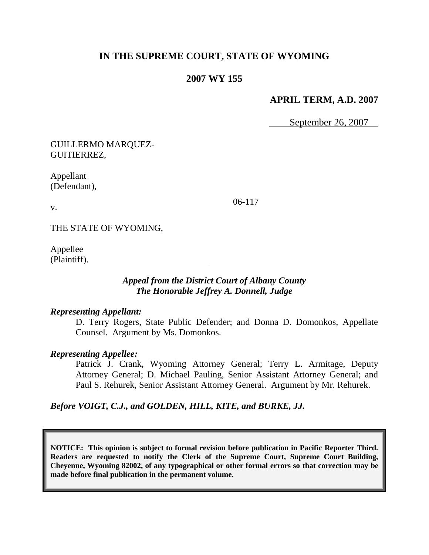# **IN THE SUPREME COURT, STATE OF WYOMING**

## **2007 WY 155**

## **APRIL TERM, A.D. 2007**

September 26, 2007

GUILLERMO MARQUEZ-GUITIERREZ,

Appellant (Defendant),

v.

06-117

THE STATE OF WYOMING,

Appellee (Plaintiff).

### *Appeal from the District Court of Albany County The Honorable Jeffrey A. Donnell, Judge*

#### *Representing Appellant:*

D. Terry Rogers, State Public Defender; and Donna D. Domonkos, Appellate Counsel. Argument by Ms. Domonkos.

#### *Representing Appellee:*

Patrick J. Crank, Wyoming Attorney General; Terry L. Armitage, Deputy Attorney General; D. Michael Pauling, Senior Assistant Attorney General; and Paul S. Rehurek, Senior Assistant Attorney General. Argument by Mr. Rehurek.

*Before VOIGT, C.J., and GOLDEN, HILL, KITE, and BURKE, JJ.*

**NOTICE: This opinion is subject to formal revision before publication in Pacific Reporter Third. Readers are requested to notify the Clerk of the Supreme Court, Supreme Court Building, Cheyenne, Wyoming 82002, of any typographical or other formal errors so that correction may be made before final publication in the permanent volume.**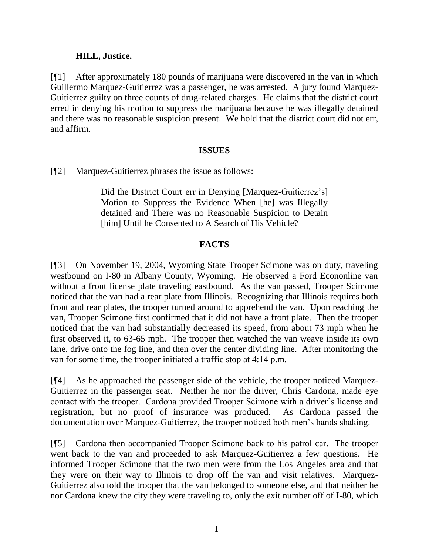## **HILL, Justice.**

[¶1] After approximately 180 pounds of marijuana were discovered in the van in which Guillermo Marquez-Guitierrez was a passenger, he was arrested. A jury found Marquez-Guitierrez guilty on three counts of drug-related charges. He claims that the district court erred in denying his motion to suppress the marijuana because he was illegally detained and there was no reasonable suspicion present. We hold that the district court did not err, and affirm.

#### **ISSUES**

[¶2] Marquez-Guitierrez phrases the issue as follows:

Did the District Court err in Denying [Marquez-Guitierrez's] Motion to Suppress the Evidence When [he] was Illegally detained and There was no Reasonable Suspicion to Detain [him] Until he Consented to A Search of His Vehicle?

# **FACTS**

[¶3] On November 19, 2004, Wyoming State Trooper Scimone was on duty, traveling westbound on I-80 in Albany County, Wyoming. He observed a Ford Econonline van without a front license plate traveling eastbound. As the van passed, Trooper Scimone noticed that the van had a rear plate from Illinois. Recognizing that Illinois requires both front and rear plates, the trooper turned around to apprehend the van. Upon reaching the van, Trooper Scimone first confirmed that it did not have a front plate. Then the trooper noticed that the van had substantially decreased its speed, from about 73 mph when he first observed it, to 63-65 mph. The trooper then watched the van weave inside its own lane, drive onto the fog line, and then over the center dividing line. After monitoring the van for some time, the trooper initiated a traffic stop at 4:14 p.m.

[¶4] As he approached the passenger side of the vehicle, the trooper noticed Marquez-Guitierrez in the passenger seat. Neither he nor the driver, Chris Cardona, made eye contact with the trooper. Cardona provided Trooper Scimone with a driver"s license and registration, but no proof of insurance was produced. As Cardona passed the documentation over Marquez-Guitierrez, the trooper noticed both men"s hands shaking.

[¶5] Cardona then accompanied Trooper Scimone back to his patrol car. The trooper went back to the van and proceeded to ask Marquez-Guitierrez a few questions. He informed Trooper Scimone that the two men were from the Los Angeles area and that they were on their way to Illinois to drop off the van and visit relatives. Marquez-Guitierrez also told the trooper that the van belonged to someone else, and that neither he nor Cardona knew the city they were traveling to, only the exit number off of I-80, which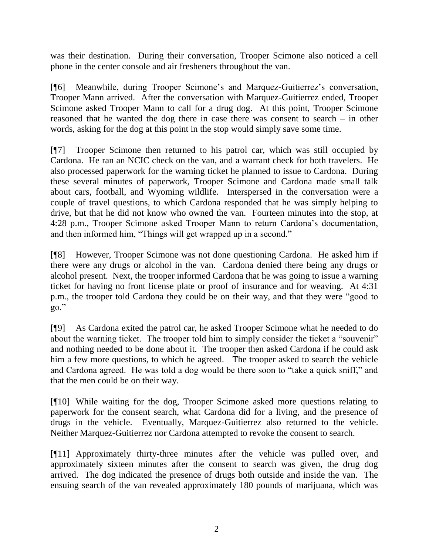was their destination. During their conversation, Trooper Scimone also noticed a cell phone in the center console and air fresheners throughout the van.

[¶6] Meanwhile, during Trooper Scimone"s and Marquez-Guitierrez"s conversation, Trooper Mann arrived. After the conversation with Marquez-Guitierrez ended, Trooper Scimone asked Trooper Mann to call for a drug dog. At this point, Trooper Scimone reasoned that he wanted the dog there in case there was consent to search – in other words, asking for the dog at this point in the stop would simply save some time.

[¶7] Trooper Scimone then returned to his patrol car, which was still occupied by Cardona. He ran an NCIC check on the van, and a warrant check for both travelers. He also processed paperwork for the warning ticket he planned to issue to Cardona. During these several minutes of paperwork, Trooper Scimone and Cardona made small talk about cars, football, and Wyoming wildlife. Interspersed in the conversation were a couple of travel questions, to which Cardona responded that he was simply helping to drive, but that he did not know who owned the van. Fourteen minutes into the stop, at 4:28 p.m., Trooper Scimone asked Trooper Mann to return Cardona"s documentation, and then informed him, "Things will get wrapped up in a second."

[¶8] However, Trooper Scimone was not done questioning Cardona. He asked him if there were any drugs or alcohol in the van. Cardona denied there being any drugs or alcohol present. Next, the trooper informed Cardona that he was going to issue a warning ticket for having no front license plate or proof of insurance and for weaving. At 4:31 p.m., the trooper told Cardona they could be on their way, and that they were "good to go."

[¶9] As Cardona exited the patrol car, he asked Trooper Scimone what he needed to do about the warning ticket. The trooper told him to simply consider the ticket a "souvenir" and nothing needed to be done about it. The trooper then asked Cardona if he could ask him a few more questions, to which he agreed. The trooper asked to search the vehicle and Cardona agreed. He was told a dog would be there soon to "take a quick sniff," and that the men could be on their way.

[¶10] While waiting for the dog, Trooper Scimone asked more questions relating to paperwork for the consent search, what Cardona did for a living, and the presence of drugs in the vehicle. Eventually, Marquez-Guitierrez also returned to the vehicle. Neither Marquez-Guitierrez nor Cardona attempted to revoke the consent to search.

[¶11] Approximately thirty-three minutes after the vehicle was pulled over, and approximately sixteen minutes after the consent to search was given, the drug dog arrived. The dog indicated the presence of drugs both outside and inside the van. The ensuing search of the van revealed approximately 180 pounds of marijuana, which was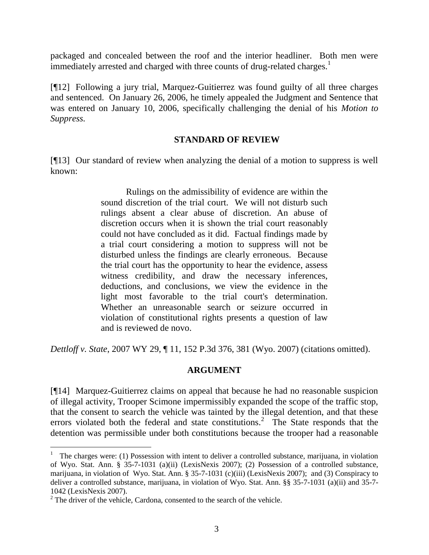packaged and concealed between the roof and the interior headliner. Both men were immediately arrested and charged with three counts of drug-related charges.<sup>1</sup>

[¶12] Following a jury trial, Marquez-Guitierrez was found guilty of all three charges and sentenced. On January 26, 2006, he timely appealed the Judgment and Sentence that was entered on January 10, 2006, specifically challenging the denial of his *Motion to Suppress.*

### **STANDARD OF REVIEW**

[¶13] Our standard of review when analyzing the denial of a motion to suppress is well known:

> Rulings on the admissibility of evidence are within the sound discretion of the trial court. We will not disturb such rulings absent a clear abuse of discretion. An abuse of discretion occurs when it is shown the trial court reasonably could not have concluded as it did. Factual findings made by a trial court considering a motion to suppress will not be disturbed unless the findings are clearly erroneous. Because the trial court has the opportunity to hear the evidence, assess witness credibility, and draw the necessary inferences, deductions, and conclusions, we view the evidence in the light most favorable to the trial court's determination. Whether an unreasonable search or seizure occurred in violation of constitutional rights presents a question of law and is reviewed de novo.

*Dettloff v. State*, 2007 WY 29, ¶ 11, 152 P.3d 376, 381 (Wyo. 2007) (citations omitted).

## **ARGUMENT**

[¶14] Marquez-Guitierrez claims on appeal that because he had no reasonable suspicion of illegal activity, Trooper Scimone impermissibly expanded the scope of the traffic stop, that the consent to search the vehicle was tainted by the illegal detention, and that these errors violated both the federal and state constitutions.<sup>2</sup> The State responds that the detention was permissible under both constitutions because the trooper had a reasonable

 $\overline{a}$ 

<sup>&</sup>lt;sup>1</sup> The charges were: (1) Possession with intent to deliver a controlled substance, marijuana, in violation of Wyo. Stat. Ann. § 35-7-1031 (a)(ii) (LexisNexis 2007); (2) Possession of a controlled substance, marijuana, in violation of Wyo. Stat. Ann. § 35-7-1031 (c)(iii) (LexisNexis 2007); and (3) Conspiracy to deliver a controlled substance, marijuana, in violation of Wyo. Stat. Ann. §§ 35-7-1031 (a)(ii) and 35-7- 1042 (LexisNexis 2007).

<sup>&</sup>lt;sup>2</sup> The driver of the vehicle, Cardona, consented to the search of the vehicle.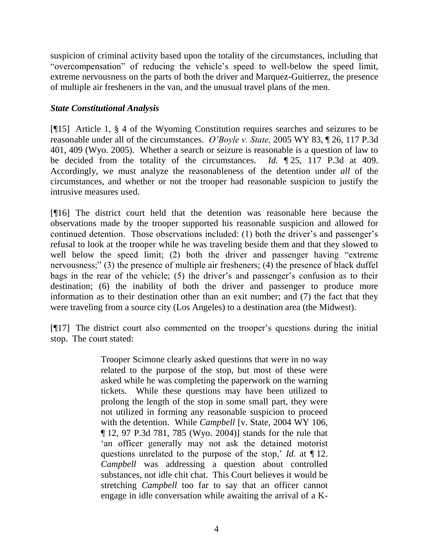suspicion of criminal activity based upon the totality of the circumstances, including that "overcompensation" of reducing the vehicle"s speed to well-below the speed limit, extreme nervousness on the parts of both the driver and Marquez-Guitierrez, the presence of multiple air fresheners in the van, and the unusual travel plans of the men.

### *State Constitutional Analysis*

[¶15] Article 1, § 4 of the Wyoming Constitution requires searches and seizures to be reasonable under all of the circumstances. *O'Boyle v. State,* 2005 WY 83, ¶ 26, 117 P.3d 401, 409 (Wyo. 2005). Whether a search or seizure is reasonable is a question of law to be decided from the totality of the circumstances. *Id.* ¶ 25, 117 P.3d at 409. Accordingly, we must analyze the reasonableness of the detention under *all* of the circumstances, and whether or not the trooper had reasonable suspicion to justify the intrusive measures used.

[¶16] The district court held that the detention was reasonable here because the observations made by the trooper supported his reasonable suspicion and allowed for continued detention. Those observations included: (1) both the driver's and passenger's refusal to look at the trooper while he was traveling beside them and that they slowed to well below the speed limit; (2) both the driver and passenger having "extreme" nervousness;" (3) the presence of multiple air fresheners; (4) the presence of black duffel bags in the rear of the vehicle; (5) the driver's and passenger's confusion as to their destination; (6) the inability of both the driver and passenger to produce more information as to their destination other than an exit number; and (7) the fact that they were traveling from a source city (Los Angeles) to a destination area (the Midwest).

[¶17] The district court also commented on the trooper"s questions during the initial stop. The court stated:

> Trooper Scimone clearly asked questions that were in no way related to the purpose of the stop, but most of these were asked while he was completing the paperwork on the warning tickets. While these questions may have been utilized to prolong the length of the stop in some small part, they were not utilized in forming any reasonable suspicion to proceed with the detention. While *Campbell* [v. State, 2004 WY 106, ¶ 12, 97 P.3d 781, 785 (Wyo. 2004)] stands for the rule that "an officer generally may not ask the detained motorist questions unrelated to the purpose of the stop,' *Id.* at  $\P$  12. *Campbell* was addressing a question about controlled substances, not idle chit chat. This Court believes it would be stretching *Campbell* too far to say that an officer cannot engage in idle conversation while awaiting the arrival of a K-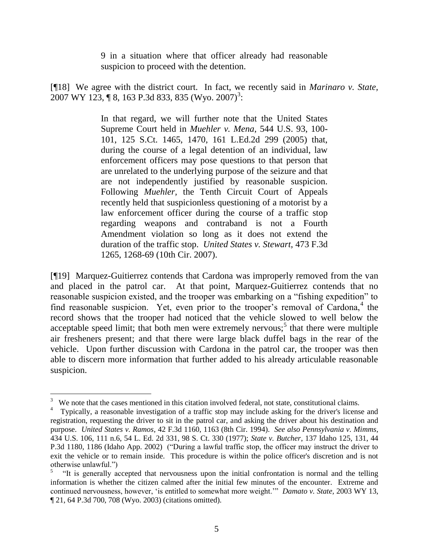9 in a situation where that officer already had reasonable suspicion to proceed with the detention.

[¶18] We agree with the district court. In fact, we recently said in *Marinaro v. State,* 2007 WY 123, ¶ 8, 163 P.3d 833, 835 (Wyo. 2007)<sup>3</sup>:

> In that regard, we will further note that the United States Supreme Court held in *Muehler v. Mena*, 544 U.S. 93, 100- 101, 125 S.Ct. 1465, 1470, 161 L.Ed.2d 299 (2005) that, during the course of a legal detention of an individual, law enforcement officers may pose questions to that person that are unrelated to the underlying purpose of the seizure and that are not independently justified by reasonable suspicion. Following *Muehler,* the Tenth Circuit Court of Appeals recently held that suspicionless questioning of a motorist by a law enforcement officer during the course of a traffic stop regarding weapons and contraband is not a Fourth Amendment violation so long as it does not extend the duration of the traffic stop. *United States v. Stewart*, 473 F.3d 1265, 1268-69 (10th Cir. 2007).

[¶19] Marquez-Guitierrez contends that Cardona was improperly removed from the van and placed in the patrol car. At that point, Marquez-Guitierrez contends that no reasonable suspicion existed, and the trooper was embarking on a "fishing expedition" to find reasonable suspicion. Yet, even prior to the trooper's removal of Cardona,<sup>4</sup> the record shows that the trooper had noticed that the vehicle slowed to well below the acceptable speed limit; that both men were extremely nervous;<sup>5</sup> that there were multiple air fresheners present; and that there were large black duffel bags in the rear of the vehicle. Upon further discussion with Cardona in the patrol car, the trooper was then able to discern more information that further added to his already articulable reasonable suspicion.

 $\frac{1}{3}$ We note that the cases mentioned in this citation involved federal, not state, constitutional claims.

<sup>4</sup> Typically, a reasonable investigation of a traffic stop may include asking for the driver's license and registration, requesting the driver to sit in the patrol car, and asking the driver about his destination and purpose. *United States v. Ramos*, 42 F.3d 1160, 1163 (8th Cir. 1994). *See also Pennsylvania v. Mimms*, 434 U.S. 106, 111 n.6, 54 L. Ed. 2d 331, 98 S. Ct. 330 (1977); *State v. Butcher*, 137 Idaho 125, 131, 44 P.3d 1180, 1186 (Idaho App. 2002) ("During a lawful traffic stop, the officer may instruct the driver to exit the vehicle or to remain inside. This procedure is within the police officer's discretion and is not otherwise unlawful.")

<sup>5</sup> "It is generally accepted that nervousness upon the initial confrontation is normal and the telling information is whether the citizen calmed after the initial few minutes of the encounter. Extreme and continued nervousness, however, "is entitled to somewhat more weight."" *Damato v. State,* 2003 WY 13, ¶ 21, 64 P.3d 700, 708 (Wyo. 2003) (citations omitted).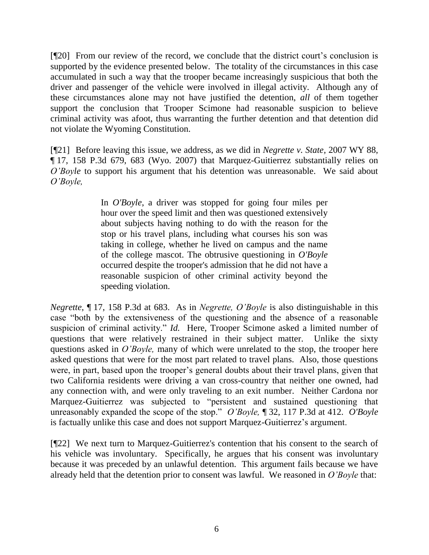[¶20] From our review of the record, we conclude that the district court"s conclusion is supported by the evidence presented below. The totality of the circumstances in this case accumulated in such a way that the trooper became increasingly suspicious that both the driver and passenger of the vehicle were involved in illegal activity. Although any of these circumstances alone may not have justified the detention, *all* of them together support the conclusion that Trooper Scimone had reasonable suspicion to believe criminal activity was afoot, thus warranting the further detention and that detention did not violate the Wyoming Constitution.

[¶21] Before leaving this issue, we address, as we did in *Negrette v. State,* 2007 WY 88, ¶ 17, 158 P.3d 679, 683 (Wyo. 2007) that Marquez-Guitierrez substantially relies on *O'Boyle* to support his argument that his detention was unreasonable. We said about *O'Boyle,* 

> In *O'Boyle*, a driver was stopped for going four miles per hour over the speed limit and then was questioned extensively about subjects having nothing to do with the reason for the stop or his travel plans, including what courses his son was taking in college, whether he lived on campus and the name of the college mascot. The obtrusive questioning in *O'Boyle* occurred despite the trooper's admission that he did not have a reasonable suspicion of other criminal activity beyond the speeding violation.

*Negrette*, ¶ 17, 158 P.3d at 683. As in *Negrette, O'Boyle* is also distinguishable in this case "both by the extensiveness of the questioning and the absence of a reasonable suspicion of criminal activity." *Id.* Here, Trooper Scimone asked a limited number of questions that were relatively restrained in their subject matter. Unlike the sixty questions asked in *O'Boyle,* many of which were unrelated to the stop, the trooper here asked questions that were for the most part related to travel plans. Also, those questions were, in part, based upon the trooper's general doubts about their travel plans, given that two California residents were driving a van cross-country that neither one owned, had any connection with, and were only traveling to an exit number. Neither Cardona nor Marquez-Guitierrez was subjected to "persistent and sustained questioning that unreasonably expanded the scope of the stop." *O'Boyle,* ¶ 32, 117 P.3d at 412. *O'Boyle* is factually unlike this case and does not support Marquez-Guitierrez"s argument.

[¶22] We next turn to Marquez-Guitierrez's contention that his consent to the search of his vehicle was involuntary. Specifically, he argues that his consent was involuntary because it was preceded by an unlawful detention. This argument fails because we have already held that the detention prior to consent was lawful. We reasoned in *O'Boyle* that: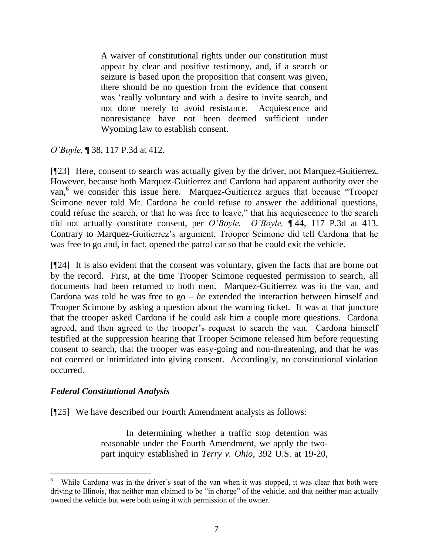A waiver of constitutional rights under our constitution must appear by clear and positive testimony, and, if a search or seizure is based upon the proposition that consent was given, there should be no question from the evidence that consent was "really voluntary and with a desire to invite search, and not done merely to avoid resistance. Acquiescence and nonresistance have not been deemed sufficient under Wyoming law to establish consent.

*O'Boyle,* ¶ 38, 117 P.3d at 412.

[¶23] Here, consent to search was actually given by the driver, not Marquez-Guitierrez. However, because both Marquez-Guitierrez and Cardona had apparent authority over the van, <sup>6</sup> we consider this issue here. Marquez-Guitierrez argues that because "Trooper Scimone never told Mr. Cardona he could refuse to answer the additional questions, could refuse the search, or that he was free to leave," that his acquiescence to the search did not actually constitute consent, per *O'Boyle. O'Boyle,* ¶ 44, 117 P.3d at 413. Contrary to Marquez-Guitierrez's argument, Trooper Scimone did tell Cardona that he was free to go and, in fact, opened the patrol car so that he could exit the vehicle.

[¶24] It is also evident that the consent was voluntary, given the facts that are borne out by the record. First, at the time Trooper Scimone requested permission to search, all documents had been returned to both men. Marquez-Guitierrez was in the van, and Cardona was told he was free to go – *he* extended the interaction between himself and Trooper Scimone by asking a question about the warning ticket. It was at that juncture that the trooper asked Cardona if he could ask him a couple more questions. Cardona agreed, and then agreed to the trooper's request to search the van. Cardona himself testified at the suppression hearing that Trooper Scimone released him before requesting consent to search, that the trooper was easy-going and non-threatening, and that he was not coerced or intimidated into giving consent. Accordingly, no constitutional violation occurred.

## *Federal Constitutional Analysis*

[¶25] We have described our [Fourth Amendment](http://www.lexis.com/research/buttonTFLink?_m=4834fc7b3cee7aa2b04313afb83f6c8d&_xfercite=%3ccite%20cc%3d%22USA%22%3e%3c%21%5bCDATA%5b2007%20WY%2088%5d%5d%3e%3c%2fcite%3e&_butType=4&_butStat=0&_butNum=34&_butInline=1&_butinfo=U.S.%20CONST.%20AMEND.%204&_fmtstr=FULL&docnum=1&_startdoc=1&wchp=dGLbVzb-zSkAk&_md5=aa6e845b400b6cb365f2f08f1e4a6aee) analysis as follows:

In determining whether a traffic stop detention was reasonable under the [Fourth Amendment,](http://www.lexis.com/research/buttonTFLink?_m=4834fc7b3cee7aa2b04313afb83f6c8d&_xfercite=%3ccite%20cc%3d%22USA%22%3e%3c%21%5bCDATA%5b2007%20WY%2088%5d%5d%3e%3c%2fcite%3e&_butType=4&_butStat=0&_butNum=36&_butInline=1&_butinfo=U.S.%20CONST.%20AMEND.%204&_fmtstr=FULL&docnum=1&_startdoc=1&wchp=dGLbVzb-zSkAk&_md5=dac2ab37df286526825b21059788fefd) we apply the twopart inquiry established in *Terry v. Ohio*[, 392 U.S. at 19-20,](http://www.lexis.com/research/buttonTFLink?_m=4834fc7b3cee7aa2b04313afb83f6c8d&_xfercite=%3ccite%20cc%3d%22USA%22%3e%3c%21%5bCDATA%5b2007%20WY%2088%5d%5d%3e%3c%2fcite%3e&_butType=3&_butStat=2&_butNum=37&_butInline=1&_butinfo=%3ccite%20cc%3d%22USA%22%3e%3c%21%5bCDATA%5b392%20U.S.%201%2c%2019%5d%5d%3e%3c%2fcite%3e&_fmtstr=FULL&docnum=1&_startdoc=1&wchp=dGLbVzb-zSkAk&_md5=d559142e58e375544262e4298712aeb0) 

<sup>6</sup> While Cardona was in the driver's seat of the van when it was stopped, it was clear that both were driving to Illinois, that neither man claimed to be "in charge" of the vehicle, and that neither man actually owned the vehicle but were both using it with permission of the owner.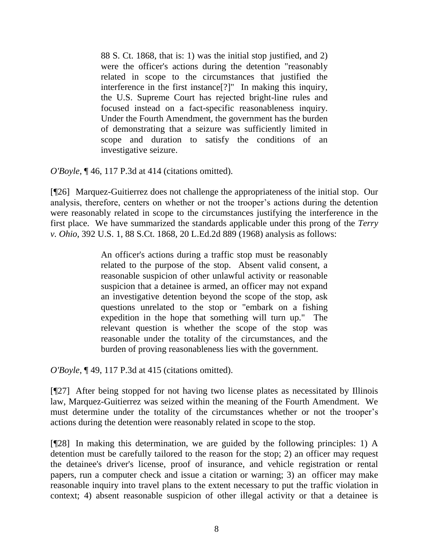88 S. Ct. 1868, that is: 1) was the initial stop justified, and 2) were the officer's actions during the detention "reasonably related in scope to the circumstances that justified the interference in the first instance[?]" In making this inquiry, the U.S. Supreme Court has rejected bright-line rules and focused instead on a fact-specific reasonableness inquiry. Under the Fourth Amendment, the government has the burden of demonstrating that a seizure was sufficiently limited in scope and duration to satisfy the conditions of an investigative seizure.

*O'Boyle*, ¶ 46, 117 P.3d at 414 (citations omitted).

[¶26] Marquez-Guitierrez does not challenge the appropriateness of the initial stop. Our analysis, therefore, centers on whether or not the trooper's actions during the detention were reasonably related in scope to the circumstances justifying the interference in the first place. We have summarized the standards applicable under this prong of the *Terry v. Ohio*, 392 U.S. 1, 88 S.Ct. 1868, 20 L.Ed.2d 889 (1968) analysis as follows:

> An officer's actions during a traffic stop must be reasonably related to the purpose of the stop. Absent valid consent, a reasonable suspicion of other unlawful activity or reasonable suspicion that a detainee is armed, an officer may not expand an investigative detention beyond the scope of the stop, ask questions unrelated to the stop or "embark on a fishing expedition in the hope that something will turn up." The relevant question is whether the scope of the stop was reasonable under the totality of the circumstances, and the burden of proving reasonableness lies with the government.

*O'Boyle*, ¶ 49, 117 P.3d at 415 (citations omitted).

[¶27] After being stopped for not having two license plates as necessitated by Illinois law, Marquez-Guitierrez was seized within the meaning of the Fourth Amendment. We must determine under the totality of the circumstances whether or not the trooper's actions during the detention were reasonably related in scope to the stop.

[¶28] In making this determination, we are guided by the following principles: 1) A detention must be carefully tailored to the reason for the stop; 2) an officer may request the detainee's driver's license, proof of insurance, and vehicle registration or rental papers, run a computer check and issue a citation or warning; 3) an officer may make reasonable inquiry into travel plans to the extent necessary to put the traffic violation in context; 4) absent reasonable suspicion of other illegal activity or that a detainee is